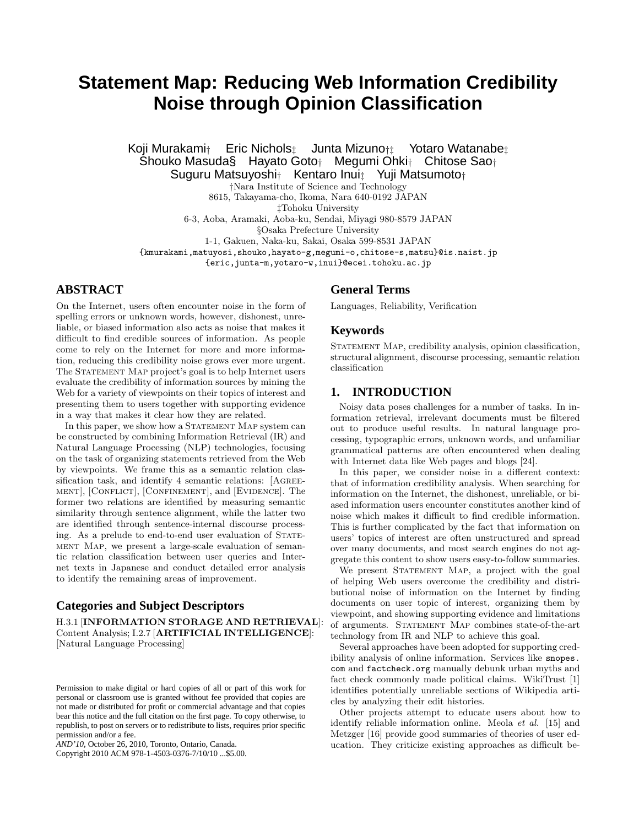# **Statement Map: Reducing Web Information Credibility Noise through Opinion Classification**

Koji Murakami† Eric Nichols<sup>†</sup> Junta Mizuno† $\ddagger$  Yotaro Watanabe $\ddagger$ Shouko Masuda§ Hayato Goto† Megumi Ohki† Chitose Sao† Suguru Matsuyoshi† Kentaro Inui‡ Yuji Matsumoto† †Nara Institute of Science and Technology

8615, Takayama-cho, Ikoma, Nara 640-0192 JAPAN

‡Tohoku University

6-3, Aoba, Aramaki, Aoba-ku, Sendai, Miyagi 980-8579 JAPAN

§Osaka Prefecture University

1-1, Gakuen, Naka-ku, Sakai, Osaka 599-8531 JAPAN

{kmurakami,matuyosi,shouko,hayato-g,megumi-o,chitose-s,matsu}@is.naist.jp

{eric,junta-m,yotaro-w,inui}@ecei.tohoku.ac.jp

# **ABSTRACT**

On the Internet, users often encounter noise in the form of spelling errors or unknown words, however, dishonest, unreliable, or biased information also acts as noise that makes it difficult to find credible sources of information. As people come to rely on the Internet for more and more information, reducing this credibility noise grows ever more urgent. The STATEMENT MAP project's goal is to help Internet users evaluate the credibility of information sources by mining the Web for a variety of viewpoints on their topics of interest and presenting them to users together with supporting evidence in a way that makes it clear how they are related.

In this paper, we show how a STATEMENT MAP system can be constructed by combining Information Retrieval (IR) and Natural Language Processing (NLP) technologies, focusing on the task of organizing statements retrieved from the Web by viewpoints. We frame this as a semantic relation classification task, and identify 4 semantic relations: [AGREEment], [Conflict], [Confinement], and [Evidence]. The former two relations are identified by measuring semantic similarity through sentence alignment, while the latter two are identified through sentence-internal discourse processing. As a prelude to end-to-end user evaluation of STATEment Map, we present a large-scale evaluation of semantic relation classification between user queries and Internet texts in Japanese and conduct detailed error analysis to identify the remaining areas of improvement.

## **Categories and Subject Descriptors**

H.3.1 [INFORMATION STORAGE AND RETRIEVAL]: Content Analysis; I.2.7 [ARTIFICIAL INTELLIGENCE]: [Natural Language Processing]

*AND'10,* October 26, 2010, Toronto, Ontario, Canada.

Copyright 2010 ACM 978-1-4503-0376-7/10/10 ...\$5.00.

### **General Terms**

Languages, Reliability, Verification

#### **Keywords**

STATEMENT MAP, credibility analysis, opinion classification, structural alignment, discourse processing, semantic relation classification

## **1. INTRODUCTION**

Noisy data poses challenges for a number of tasks. In information retrieval, irrelevant documents must be filtered out to produce useful results. In natural language processing, typographic errors, unknown words, and unfamiliar grammatical patterns are often encountered when dealing with Internet data like Web pages and blogs [24].

In this paper, we consider noise in a different context: that of information credibility analysis. When searching for information on the Internet, the dishonest, unreliable, or biased information users encounter constitutes another kind of noise which makes it difficult to find credible information. This is further complicated by the fact that information on users' topics of interest are often unstructured and spread over many documents, and most search engines do not aggregate this content to show users easy-to-follow summaries.

We present STATEMENT MAP, a project with the goal of helping Web users overcome the credibility and distributional noise of information on the Internet by finding documents on user topic of interest, organizing them by viewpoint, and showing supporting evidence and limitations of arguments. STATEMENT MAP combines state-of-the-art technology from IR and NLP to achieve this goal.

Several approaches have been adopted for supporting credibility analysis of online information. Services like snopes. com and factcheck.org manually debunk urban myths and fact check commonly made political claims. WikiTrust [1] identifies potentially unreliable sections of Wikipedia articles by analyzing their edit histories.

Other projects attempt to educate users about how to identify reliable information online. Meola et al. [15] and Metzger [16] provide good summaries of theories of user education. They criticize existing approaches as difficult be-

Permission to make digital or hard copies of all or part of this work for personal or classroom use is granted without fee provided that copies are not made or distributed for profit or commercial advantage and that copies bear this notice and the full citation on the first page. To copy otherwise, to republish, to post on servers or to redistribute to lists, requires prior specific permission and/or a fee.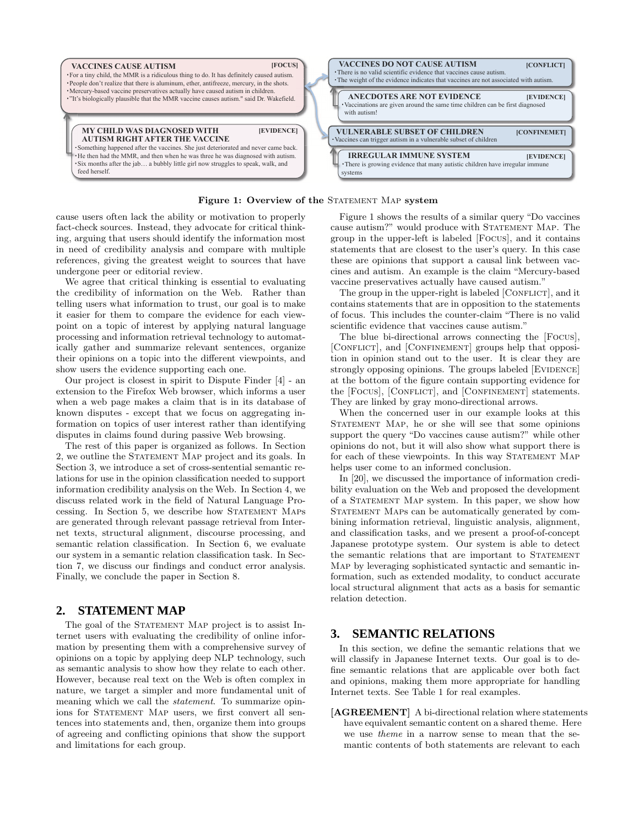

#### Figure 1: Overview of the STATEMENT MAP system

cause users often lack the ability or motivation to properly fact-check sources. Instead, they advocate for critical thinking, arguing that users should identify the information most in need of credibility analysis and compare with multiple references, giving the greatest weight to sources that have undergone peer or editorial review.

We agree that critical thinking is essential to evaluating the credibility of information on the Web. Rather than telling users what information to trust, our goal is to make it easier for them to compare the evidence for each viewpoint on a topic of interest by applying natural language processing and information retrieval technology to automatically gather and summarize relevant sentences, organize their opinions on a topic into the different viewpoints, and show users the evidence supporting each one.

Our project is closest in spirit to Dispute Finder [4] - an extension to the Firefox Web browser, which informs a user when a web page makes a claim that is in its database of known disputes - except that we focus on aggregating information on topics of user interest rather than identifying disputes in claims found during passive Web browsing.

The rest of this paper is organized as follows. In Section 2, we outline the STATEMENT MAP project and its goals. In Section 3, we introduce a set of cross-sentential semantic relations for use in the opinion classification needed to support information credibility analysis on the Web. In Section 4, we discuss related work in the field of Natural Language Processing. In Section 5, we describe how STATEMENT MAPs are generated through relevant passage retrieval from Internet texts, structural alignment, discourse processing, and semantic relation classification. In Section 6, we evaluate our system in a semantic relation classification task. In Section 7, we discuss our findings and conduct error analysis. Finally, we conclude the paper in Section 8.

# **2. STATEMENT MAP**

The goal of the STATEMENT MAP project is to assist Internet users with evaluating the credibility of online information by presenting them with a comprehensive survey of opinions on a topic by applying deep NLP technology, such as semantic analysis to show how they relate to each other. However, because real text on the Web is often complex in nature, we target a simpler and more fundamental unit of meaning which we call the *statement*. To summarize opinions for STATEMENT MAP users, we first convert all sentences into statements and, then, organize them into groups of agreeing and conflicting opinions that show the support and limitations for each group.

Figure 1 shows the results of a similar query "Do vaccines cause autism?" would produce with STATEMENT MAP. The group in the upper-left is labeled [Focus], and it contains statements that are closest to the user's query. In this case these are opinions that support a causal link between vaccines and autism. An example is the claim "Mercury-based vaccine preservatives actually have caused autism."

The group in the upper-right is labeled [CONFLICT], and it contains statements that are in opposition to the statements of focus. This includes the counter-claim "There is no valid scientific evidence that vaccines cause autism."

The blue bi-directional arrows connecting the [Focus], [CONFLICT], and [CONFINEMENT] groups help that opposition in opinion stand out to the user. It is clear they are strongly opposing opinions. The groups labeled [EVIDENCE] at the bottom of the figure contain supporting evidence for the [FOCUS], [CONFLICT], and [CONFINEMENT] statements. They are linked by gray mono-directional arrows.

When the concerned user in our example looks at this STATEMENT MAP, he or she will see that some opinions support the query "Do vaccines cause autism?" while other opinions do not, but it will also show what support there is for each of these viewpoints. In this way STATEMENT MAP helps user come to an informed conclusion.

In [20], we discussed the importance of information credibility evaluation on the Web and proposed the development of a Statement Map system. In this paper, we show how STATEMENT MAPs can be automatically generated by combining information retrieval, linguistic analysis, alignment, and classification tasks, and we present a proof-of-concept Japanese prototype system. Our system is able to detect the semantic relations that are important to STATEMENT Map by leveraging sophisticated syntactic and semantic information, such as extended modality, to conduct accurate local structural alignment that acts as a basis for semantic relation detection.

## **3. SEMANTIC RELATIONS**

In this section, we define the semantic relations that we will classify in Japanese Internet texts. Our goal is to define semantic relations that are applicable over both fact and opinions, making them more appropriate for handling Internet texts. See Table 1 for real examples.

[AGREEMENT] A bi-directional relation where statements have equivalent semantic content on a shared theme. Here we use theme in a narrow sense to mean that the semantic contents of both statements are relevant to each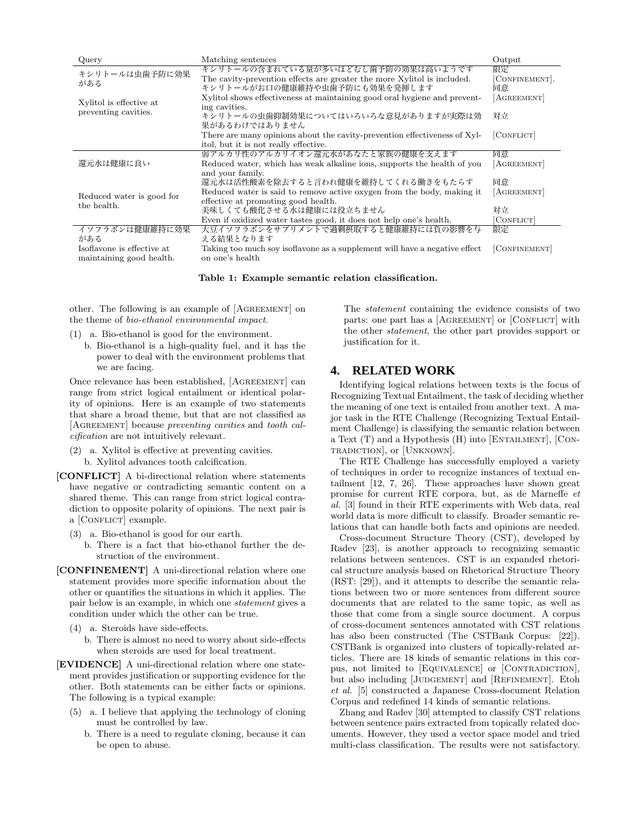| Query                                                  | Matching sentences                                                                                                                             | Output                     |
|--------------------------------------------------------|------------------------------------------------------------------------------------------------------------------------------------------------|----------------------------|
| キシリトールは虫歯予防に効果<br>がある                                  | キシリトールの含まれている量が多いほどむし歯予防の効果は高いようです<br>The cavity-prevention effects are greater the more Xylitol is included.<br>キシリトールがお口の健康維持や虫歯予防にも効果を発揮します | 限定<br>[CONFINEMENT].<br>同意 |
| Xylitol is effective at<br>preventing cavities.        | Xylitol shows effectiveness at maintaining good oral hygiene and prevent-<br>ing cavities.                                                     | [AGREEMENT]                |
|                                                        | キシリトールの虫歯抑制効果についてはいろいろな意見がありますが実際は効<br>果があるわけではありません                                                                                           | 対立                         |
|                                                        | There are many opinions about the cavity-prevention effectiveness of Xyl-<br>itol, but it is not really effective.                             | [CONFLICT]                 |
|                                                        | 弱アルカリ性のアルカリイオン還元水があなたと家族の健康を支えます                                                                                                               | 同意                         |
| 還元水は健康に良い                                              | Reduced water, which has weak alkaline ions, supports the health of you                                                                        | [AGREEMENT]                |
|                                                        | and your family.<br>還元水は活性酸素を除去すると言われ健康を維持してくれる働きをもたらす<br>Reduced water is said to remove active oxygen from the body, making it               | 同意<br>[AGREEMENT]          |
| Reduced water is good for<br>the health.               | effective at promoting good health.                                                                                                            |                            |
|                                                        | 美味しくても酸化させる水は健康には役立ちません                                                                                                                        | 対立                         |
|                                                        | Even if oxidized water tastes good, it does not help one's health.                                                                             | [CONFLICT]                 |
| イソフラボンは健康維持に効果<br>がある                                  | 大豆イソフラボンをサプリメントで過剰摂取すると健康維持には負の影響を与<br>える結果となります                                                                                               | 限定                         |
| Isoflavone is effective at<br>maintaining good health. | Taking too much soy is of a supplement will have a negative effect<br>on one's health                                                          | CONFINEMENT                |

Table 1: Example semantic relation classification.

other. The following is an example of [Agreement] on the theme of bio-ethanol environmental impact.

- (1) a. Bio-ethanol is good for the environment.
	- b. Bio-ethanol is a high-quality fuel, and it has the power to deal with the environment problems that we are facing.

Once relevance has been established, [AGREEMENT] can range from strict logical entailment or identical polarity of opinions. Here is an example of two statements that share a broad theme, but that are not classified as [Agreement] because preventing cavities and tooth calcification are not intuitively relevant.

- (2) a. Xylitol is effective at preventing cavities. b. Xylitol advances tooth calcification.
- [CONFLICT] A bi-directional relation where statements have negative or contradicting semantic content on a shared theme. This can range from strict logical contradiction to opposite polarity of opinions. The next pair is a [CONFLICT] example.
	- (3) a. Bio-ethanol is good for our earth.
		- b. There is a fact that bio-ethanol further the destruction of the environment.
- [CONFINEMENT] A uni-directional relation where one statement provides more specific information about the other or quantifies the situations in which it applies. The pair below is an example, in which one statement gives a condition under which the other can be true.
	- (4) a. Steroids have side-effects.
		- b. There is almost no need to worry about side-effects when steroids are used for local treatment.
- [EVIDENCE] A uni-directional relation where one statement provides justification or supporting evidence for the other. Both statements can be either facts or opinions. The following is a typical example:
	- (5) a. I believe that applying the technology of cloning must be controlled by law.
		- b. There is a need to regulate cloning, because it can be open to abuse.

The statement containing the evidence consists of two parts: one part has a [AGREEMENT] or [CONFLICT] with the other *statement*, the other part provides support or justification for it.

## **4. RELATED WORK**

Identifying logical relations between texts is the focus of Recognizing Textual Entailment, the task of deciding whether the meaning of one text is entailed from another text. A major task in the RTE Challenge (Recognizing Textual Entailment Challenge) is classifying the semantic relation between a Text  $(T)$  and a Hypothesis  $(H)$  into [ENTAILMENT], [CONtradiction], or [Unknown].

The RTE Challenge has successfully employed a variety of techniques in order to recognize instances of textual entailment [12, 7, 26]. These approaches have shown great promise for current RTE corpora, but, as de Marneffe et al. [3] found in their RTE experiments with Web data, real world data is more difficult to classify. Broader semantic relations that can handle both facts and opinions are needed.

Cross-document Structure Theory (CST), developed by Radev [23], is another approach to recognizing semantic relations between sentences. CST is an expanded rhetorical structure analysis based on Rhetorical Structure Theory (RST: [29]), and it attempts to describe the semantic relations between two or more sentences from different source documents that are related to the same topic, as well as those that come from a single source document. A corpus of cross-document sentences annotated with CST relations has also been constructed (The CSTBank Corpus: [22]). CSTBank is organized into clusters of topically-related articles. There are 18 kinds of semantic relations in this corpus, not limited to [EQUIVALENCE] or [CONTRADICTION], but also including [JUDGEMENT] and [REFINEMENT]. Etoh et al. [5] constructed a Japanese Cross-document Relation Corpus and redefined 14 kinds of semantic relations.

Zhang and Radev [30] attempted to classify CST relations between sentence pairs extracted from topically related documents. However, they used a vector space model and tried multi-class classification. The results were not satisfactory.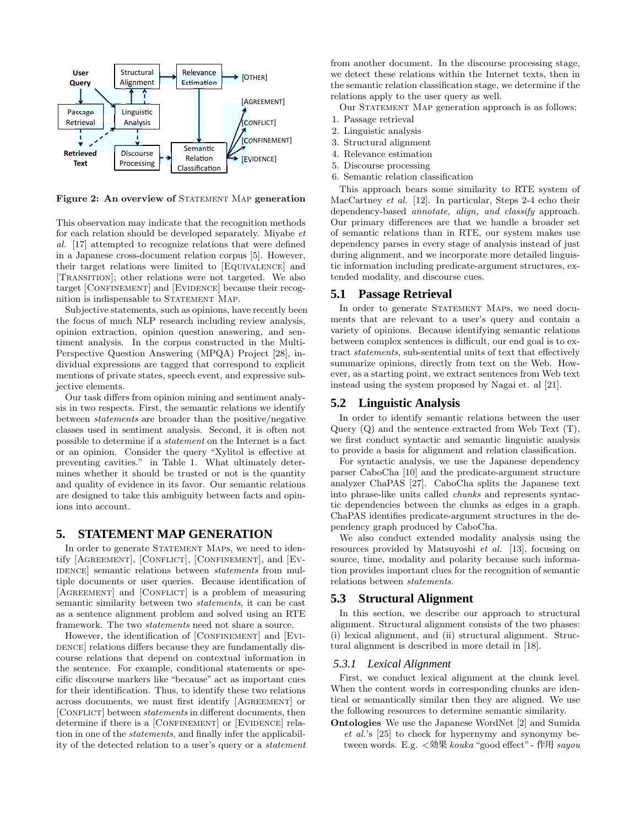

Figure 2: An overview of STATEMENT MAP generation

This observation may indicate that the recognition methods for each relation should be developed separately. Miyabe et al. [17] attempted to recognize relations that were defined in a Japanese cross-document relation corpus [5]. However, their target relations were limited to [Equivalence] and [Transition]; other relations were not targeted. We also target [CONFINEMENT] and [EVIDENCE] because their recognition is indispensable to STATEMENT MAP.

Subjective statements, such as opinions, have recently been the focus of much NLP research including review analysis, opinion extraction, opinion question answering, and sentiment analysis. In the corpus constructed in the Multi-Perspective Question Answering (MPQA) Project [28], individual expressions are tagged that correspond to explicit mentions of private states, speech event, and expressive subjective elements.

Our task differs from opinion mining and sentiment analysis in two respects. First, the semantic relations we identify between statements are broader than the positive/negative classes used in sentiment analysis. Second, it is often not possible to determine if a statement on the Internet is a fact or an opinion. Consider the query "Xylitol is effective at preventing cavities." in Table 1. What ultimately determines whether it should be trusted or not is the quantity and quality of evidence in its favor. Our semantic relations are designed to take this ambiguity between facts and opinions into account.

## **5. STATEMENT MAP GENERATION**

In order to generate STATEMENT MAPs, we need to identify [AGREEMENT], [CONFLICT], [CONFINEMENT], and [EV-IDENCE] semantic relations between *statements* from multiple documents or user queries. Because identification of [AGREEMENT] and [CONFLICT] is a problem of measuring semantic similarity between two statements, it can be cast as a sentence alignment problem and solved using an RTE framework. The two statements need not share a source.

However, the identification of [CONFINEMENT] and [EVI-DENCE] relations differs because they are fundamentally discourse relations that depend on contextual information in the sentence. For example, conditional statements or specific discourse markers like "because" act as important cues for their identification. Thus, to identify these two relations across documents, we must first identify [Agreement] or [CONFLICT] between *statements* in different documents, then determine if there is a  $[CONFINEMENT]$  or  $[EVIDENCE]$  relation in one of the statements, and finally infer the applicability of the detected relation to a user's query or a statement from another document. In the discourse processing stage, we detect these relations within the Internet texts, then in the semantic relation classification stage, we determine if the relations apply to the user query as well.

Our STATEMENT MAP generation approach is as follows:

- 1. Passage retrieval
- 2. Linguistic analysis
- 3. Structural alignment
- 4. Relevance estimation
- 5. Discourse processing
- 6. Semantic relation classification

This approach bears some similarity to RTE system of MacCartney et al. [12]. In particular, Steps 2-4 echo their dependency-based annotate, align, and classify approach. Our primary differences are that we handle a broader set of semantic relations than in RTE, our system makes use dependency parses in every stage of analysis instead of just during alignment, and we incorporate more detailed linguistic information including predicate-argument structures, extended modality, and discourse cues.

#### **5.1 Passage Retrieval**

In order to generate STATEMENT MAPs, we need documents that are relevant to a user's query and contain a variety of opinions. Because identifying semantic relations between complex sentences is difficult, our end goal is to extract statements, sub-sentential units of text that effectively summarize opinions, directly from text on the Web. However, as a starting point, we extract sentences from Web text instead using the system proposed by Nagai et. al [21].

### **5.2 Linguistic Analysis**

In order to identify semantic relations between the user Query (Q) and the sentence extracted from Web Text (T), we first conduct syntactic and semantic linguistic analysis to provide a basis for alignment and relation classification.

For syntactic analysis, we use the Japanese dependency parser CaboCha [10] and the predicate-argument structure analyzer ChaPAS [27]. CaboCha splits the Japanese text into phrase-like units called chunks and represents syntactic dependencies between the chunks as edges in a graph. ChaPAS identifies predicate-argument structures in the dependency graph produced by CaboCha.

We also conduct extended modality analysis using the resources provided by Matsuyoshi et al. [13], focusing on source, time, modality and polarity because such information provides important clues for the recognition of semantic relations between statements.

#### **5.3 Structural Alignment**

In this section, we describe our approach to structural alignment. Structural alignment consists of the two phases: (i) lexical alignment, and (ii) structural alignment. Structural alignment is described in more detail in [18].

#### *5.3.1 Lexical Alignment*

First, we conduct lexical alignment at the chunk level. When the content words in corresponding chunks are identical or semantically similar then they are aligned. We use the following resources to determine semantic similarity.

Ontologies We use the Japanese WordNet [2] and Sumida et al.'s [25] to check for hypernymy and synonymy between words. E.g. <効果 kouka "good effect" - 作用 sayou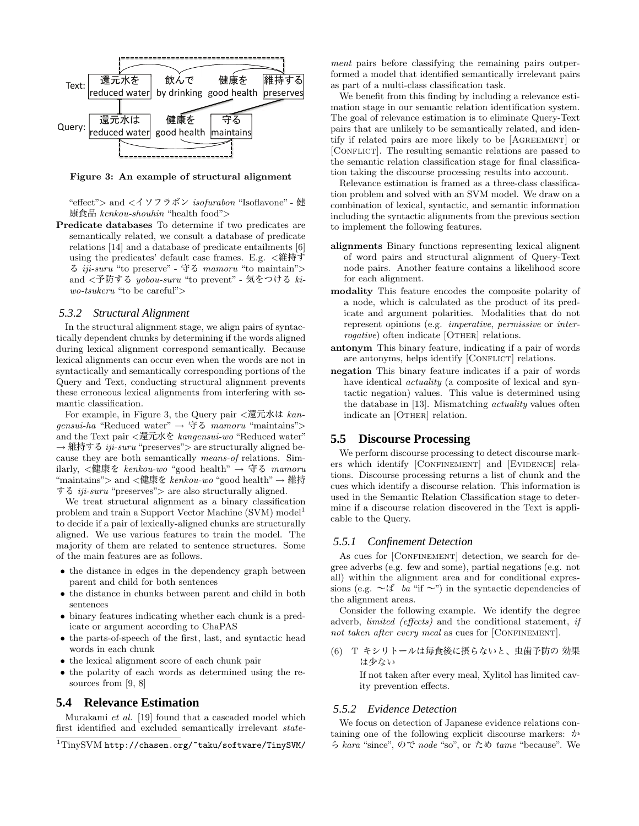

Figure 3: An example of structural alignment

"effect"> and <イソフラボン isofurabon "Isoflavone" - 健 康食品 kenkou-shouhin "health food">

Predicate databases To determine if two predicates are semantically related, we consult a database of predicate relations [14] and a database of predicate entailments [6] using the predicates' default case frames. E.g. <維持す る iji-suru "to preserve" - 守る mamoru "to maintain"> and <予防する yobou-suru "to prevent" - 気をつける kiwo-tsukeru "to be careful">

#### *5.3.2 Structural Alignment*

In the structural alignment stage, we align pairs of syntactically dependent chunks by determining if the words aligned during lexical alignment correspond semantically. Because lexical alignments can occur even when the words are not in syntactically and semantically corresponding portions of the Query and Text, conducting structural alignment prevents these erroneous lexical alignments from interfering with semantic classification.

For example, in Figure 3, the Query pair <還元水は kan $gensu-ha$  "Reduced water"  $\rightarrow$  守る mamoru "maintains"> and the Text pair <還元水を kangensui-wo "Reduced water"  $\rightarrow$  維持する iji-suru "preserves"> are structurally aligned because they are both semantically means-of relations. Similarly, <健康を kenkou-wo "good health"  $\rightarrow$  守る mamoru "maintains"> and <健康を kenkou-wo "good health"  $\rightarrow$  維持 する iji-suru "preserves"> are also structurally aligned.

We treat structural alignment as a binary classification problem and train a Support Vector Machine (SVM) model<sup>1</sup> to decide if a pair of lexically-aligned chunks are structurally aligned. We use various features to train the model. The majority of them are related to sentence structures. Some of the main features are as follows.

- the distance in edges in the dependency graph between parent and child for both sentences
- the distance in chunks between parent and child in both sentences
- binary features indicating whether each chunk is a predicate or argument according to ChaPAS
- the parts-of-speech of the first, last, and syntactic head words in each chunk
- the lexical alignment score of each chunk pair
- the polarity of each words as determined using the resources from [9, 8]

## **5.4 Relevance Estimation**

Murakami et al. [19] found that a cascaded model which first identified and excluded semantically irrelevant state-

ment pairs before classifying the remaining pairs outperformed a model that identified semantically irrelevant pairs as part of a multi-class classification task.

We benefit from this finding by including a relevance estimation stage in our semantic relation identification system. The goal of relevance estimation is to eliminate Query-Text pairs that are unlikely to be semantically related, and identify if related pairs are more likely to be [Agreement] or [CONFLICT]. The resulting semantic relations are passed to the semantic relation classification stage for final classification taking the discourse processing results into account.

Relevance estimation is framed as a three-class classification problem and solved with an SVM model. We draw on a combination of lexical, syntactic, and semantic information including the syntactic alignments from the previous section to implement the following features.

- alignments Binary functions representing lexical alignent of word pairs and structural alignment of Query-Text node pairs. Another feature contains a likelihood score for each alignment.
- modality This feature encodes the composite polarity of a node, which is calculated as the product of its predicate and argument polarities. Modalities that do not represent opinions (e.g. imperative, permissive or interrogative) often indicate [OTHER] relations.
- antonym This binary feature, indicating if a pair of words are antonyms, helps identify [CONFLICT] relations.
- negation This binary feature indicates if a pair of words have identical *actuality* (a composite of lexical and syntactic negation) values. This value is determined using the database in [13]. Mismatching *actuality* values often indicate an [OTHER] relation.

#### **5.5 Discourse Processing**

We perform discourse processing to detect discourse markers which identify [CONFINEMENT] and [EVIDENCE] relations. Discourse processing returns a list of chunk and the cues which identify a discourse relation. This information is used in the Semantic Relation Classification stage to determine if a discourse relation discovered in the Text is applicable to the Query.

#### *5.5.1 Confinement Detection*

As cues for [CONFINEMENT] detection, we search for degree adverbs (e.g. few and some), partial negations (e.g. not all) within the alignment area and for conditional expressions (e.g.  $\sim \mathcal{K}$  ba "if  $\sim$ ") in the syntactic dependencies of the alignment areas.

Consider the following example. We identify the degree adverb, limited (effects) and the conditional statement, if not taken after every meal as cues for  $[CONFINEMENT]$ .

(6) T キシリトールは毎食後に摂らないと、虫歯予防の 効果 は少ない

> If not taken after every meal, Xylitol has limited cavity prevention effects.

## *5.5.2 Evidence Detection*

We focus on detection of Japanese evidence relations containing one of the following explicit discourse markers: か ら kara "since", ので node "so", or ため tame "because". We

 $1$ TinySVM http://chasen.org/~taku/software/TinySVM/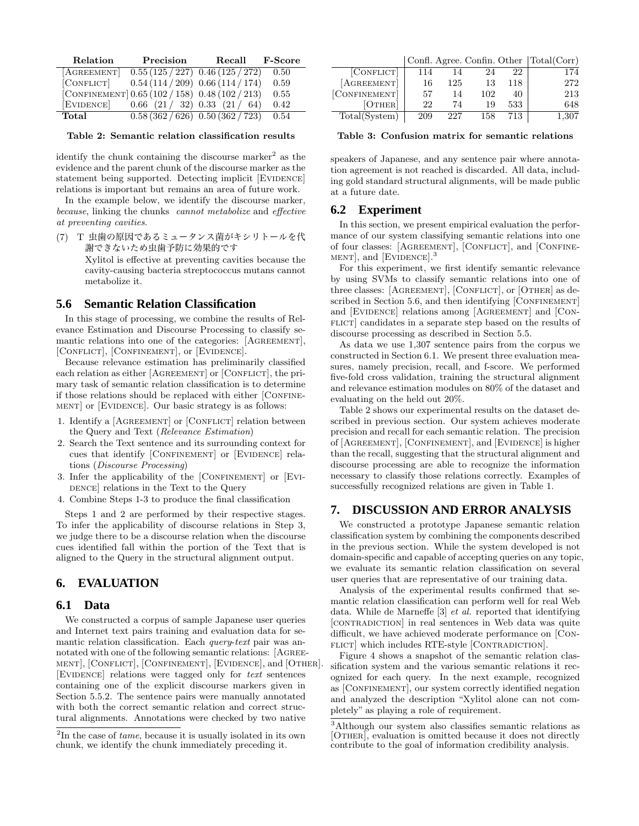| Relation   | Precision                                      | Recall | <b>F-Score</b> |
|------------|------------------------------------------------|--------|----------------|
| AGREEMENT  | $0.55(125/227)$ $0.46(125/272)$                |        | 0.50           |
| [CONFLICT] | $0.54(114/209)$ $0.66(114/174)$                |        | 0.59           |
|            | [CONFINEMENT] $0.65(102/158)$ 0.48 $(102/213)$ |        | 0.55           |
| [EVIDENCE] | $0.66$ $(21/32)$ $0.33$ $(21/64)$              |        | 0.42           |
| Total      | $0.58(362/626)$ $0.50(362/723)$                |        | 0.54           |

Table 2: Semantic relation classification results

identify the chunk containing the discourse marker<sup>2</sup> as the evidence and the parent chunk of the discourse marker as the statement being supported. Detecting implicit [EVIDENCE] relations is important but remains an area of future work.

In the example below, we identify the discourse marker, because, linking the chunks cannot metabolize and effective at preventing cavities.

(7) T 虫歯の原因であるミュータンス菌がキシリトールを代 謝できないため虫歯予防に効果的です

> Xylitol is effective at preventing cavities because the cavity-causing bacteria streptococcus mutans cannot metabolize it.

## **5.6 Semantic Relation Classification**

In this stage of processing, we combine the results of Relevance Estimation and Discourse Processing to classify semantic relations into one of the categories: [AGREEMENT], [CONFLICT], [CONFINEMENT], or [EVIDENCE].

Because relevance estimation has preliminarily classified each relation as either [AGREEMENT] or [CONFLICT], the primary task of semantic relation classification is to determine if those relations should be replaced with either [CONFINE-MENT or [EVIDENCE]. Our basic strategy is as follows:

- 1. Identify a [AGREEMENT] or [CONFLICT] relation between the Query and Text (Relevance Estimation)
- 2. Search the Text sentence and its surrounding context for cues that identify [CONFINEMENT] or [EVIDENCE] relations (Discourse Processing)
- 3. Infer the applicability of the [CONFINEMENT] or [EVI-DENCE] relations in the Text to the Query
- 4. Combine Steps 1-3 to produce the final classification

Steps 1 and 2 are performed by their respective stages. To infer the applicability of discourse relations in Step 3, we judge there to be a discourse relation when the discourse cues identified fall within the portion of the Text that is aligned to the Query in the structural alignment output.

# **6. EVALUATION**

#### **6.1 Data**

We constructed a corpus of sample Japanese user queries and Internet text pairs training and evaluation data for semantic relation classification. Each *query-text* pair was annotated with one of the following semantic relations: [Agreement], [Conflict], [Confinement], [Evidence], and [Other]. [EVIDENCE] relations were tagged only for *text* sentences containing one of the explicit discourse markers given in Section 5.5.2. The sentence pairs were manually annotated with both the correct semantic relation and correct structural alignments. Annotations were checked by two native

|               |     |     |     |     | Confl. Agree. Confin. Other Total (Corr) |
|---------------|-----|-----|-----|-----|------------------------------------------|
| [CONFLICT]    | 114 | 14  | 24  | 22  | 174                                      |
| [AGREEMENT]   | 16  | 125 | 13  | 118 | 272                                      |
| [CONFINEMENT] | 57  | 14  | 102 | 40  | 213                                      |
| [OTHER]       | 22  | 74  | 19  | 533 | 648                                      |
| Total(System) | 209 | 227 | 158 | 713 | 1.307                                    |

Table 3: Confusion matrix for semantic relations

speakers of Japanese, and any sentence pair where annotation agreement is not reached is discarded. All data, including gold standard structural alignments, will be made public at a future date.

#### **6.2 Experiment**

In this section, we present empirical evaluation the performance of our system classifying semantic relations into one of four classes: [AGREEMENT], [CONFLICT], and [CONFINE- $MENT$ , and [EVIDENCE].<sup>3</sup>

For this experiment, we first identify semantic relevance by using SVMs to classify semantic relations into one of three classes: [AGREEMENT], [CONFLICT], or [OTHER] as described in Section 5.6, and then identifying  $[CONFINEMENT]$ and [EVIDENCE] relations among [AGREEMENT] and [CON-FLICT candidates in a separate step based on the results of discourse processing as described in Section 5.5.

As data we use 1,307 sentence pairs from the corpus we constructed in Section 6.1. We present three evaluation measures, namely precision, recall, and f-score. We performed five-fold cross validation, training the structural alignment and relevance estimation modules on 80% of the dataset and evaluating on the held out 20%.

Table 2 shows our experimental results on the dataset described in previous section. Our system achieves moderate precision and recall for each semantic relation. The precision of [AGREEMENT], [CONFINEMENT], and [EVIDENCE] is higher than the recall, suggesting that the structural alignment and discourse processing are able to recognize the information necessary to classify those relations correctly. Examples of successfully recognized relations are given in Table 1.

## **7. DISCUSSION AND ERROR ANALYSIS**

We constructed a prototype Japanese semantic relation classification system by combining the components described in the previous section. While the system developed is not domain-specific and capable of accepting queries on any topic, we evaluate its semantic relation classification on several user queries that are representative of our training data.

Analysis of the experimental results confirmed that semantic relation classification can perform well for real Web data. While de Marneffe [3] et al. reported that identifying [CONTRADICTION] in real sentences in Web data was quite difficult, we have achieved moderate performance on [Con-FLICT which includes RTE-style [CONTRADICTION].

Figure 4 shows a snapshot of the semantic relation classification system and the various semantic relations it recognized for each query. In the next example, recognized as [CONFINEMENT], our system correctly identified negation and analyzed the description "Xylitol alone can not completely" as playing a role of requirement.

 $2$ In the case of *tame*, because it is usually isolated in its own chunk, we identify the chunk immediately preceding it.

<sup>3</sup>Although our system also classifies semantic relations as [OTHER], evaluation is omitted because it does not directly contribute to the goal of information credibility analysis.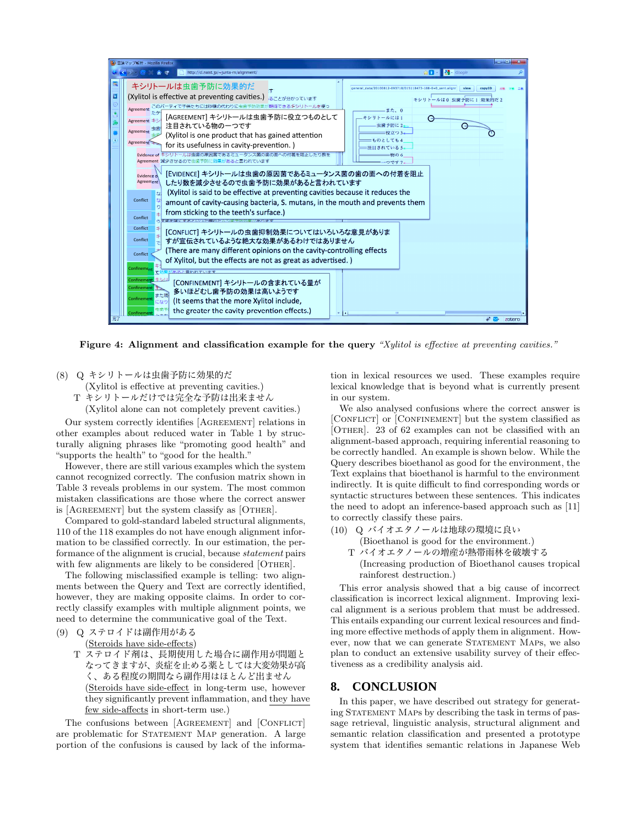

Figure 4: Alignment and classification example for the query "Xylitol is effective at preventing cavities."

(8) Q キシリトールは虫歯予防に効果的だ

(Xylitol is effective at preventing cavities.)

T キシリトールだけでは完全な予防は出来ません

(Xylitol alone can not completely prevent cavities.) Our system correctly identifies [Agreement] relations in

other examples about reduced water in Table 1 by structurally aligning phrases like "promoting good health" and "supports the health" to "good for the health."

However, there are still various examples which the system cannot recognized correctly. The confusion matrix shown in Table 3 reveals problems in our system. The most common mistaken classifications are those where the correct answer is [AGREEMENT] but the system classify as [OTHER].

Compared to gold-standard labeled structural alignments, 110 of the 118 examples do not have enough alignment information to be classified correctly. In our estimation, the performance of the alignment is crucial, because statement pairs with few alignments are likely to be considered [OTHER].

The following misclassified example is telling: two alignments between the Query and Text are correctly identified, however, they are making opposite claims. In order to correctly classify examples with multiple alignment points, we need to determine the communicative goal of the Text.

- (9) Q ステロイドは副作用がある
	- (Steroids have side-effects) T ステロイド剤は、長期使用した場合に副作用が問題と なってきますが、炎症を止める薬としては大変効果が高 く、ある程度の期間なら副作用はほとんど出ません (Steroids have side-effect in long-term use, however

they significantly prevent inflammation, and they have few side-affects in short-term use.)

The confusions between [AGREEMENT] and [CONFLICT] are problematic for STATEMENT MAP generation. A large portion of the confusions is caused by lack of the information in lexical resources we used. These examples require lexical knowledge that is beyond what is currently present in our system.

We also analysed confusions where the correct answer is [CONFLICT] or [CONFINEMENT] but the system classified as [OTHER]. 23 of 62 examples can not be classified with an alignment-based approach, requiring inferential reasoning to be correctly handled. An example is shown below. While the Query describes bioethanol as good for the environment, the Text explains that bioethanol is harmful to the environment indirectly. It is quite difficult to find corresponding words or syntactic structures between these sentences. This indicates the need to adopt an inference-based approach such as [11] to correctly classify these pairs.

- (10) Q バイオエタノールは地球の環境に良い
	- (Bioethanol is good for the environment.) T バイオエタノールの増産が熱帯雨林を破壊する
	- (Increasing production of Bioethanol causes tropical rainforest destruction.)

This error analysis showed that a big cause of incorrect classification is incorrect lexical alignment. Improving lexical alignment is a serious problem that must be addressed. This entails expanding our current lexical resources and finding more effective methods of apply them in alignment. However, now that we can generate STATEMENT MAPs, we also plan to conduct an extensive usability survey of their effectiveness as a credibility analysis aid.

## **8. CONCLUSION**

In this paper, we have described out strategy for generating STATEMENT MAPs by describing the task in terms of passage retrieval, linguistic analysis, structural alignment and semantic relation classification and presented a prototype system that identifies semantic relations in Japanese Web